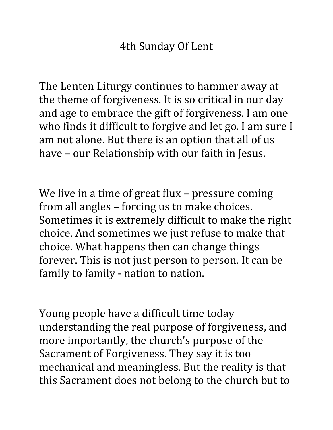The Lenten Liturgy continues to hammer away at the theme of forgiveness. It is so critical in our day and age to embrace the gift of forgiveness. I am one who finds it difficult to forgive and let go. I am sure I am not alone. But there is an option that all of us have – our Relationship with our faith in Jesus.

We live in a time of great flux – pressure coming from all angles – forcing us to make choices. Sometimes it is extremely difficult to make the right choice. And sometimes we just refuse to make that choice. What happens then can change things forever. This is not just person to person. It can be family to family - nation to nation.

Young people have a difficult time today understanding the real purpose of forgiveness, and more importantly, the church's purpose of the Sacrament of Forgiveness. They say it is too mechanical and meaningless. But the reality is that this Sacrament does not belong to the church but to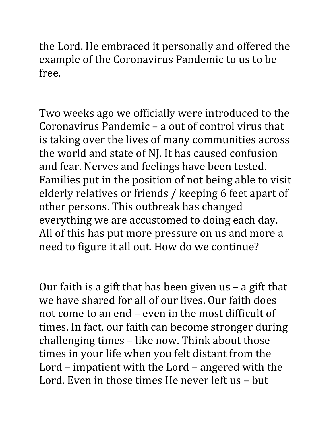the Lord. He embraced it personally and offered the example of the Coronavirus Pandemic to us to be free.

Two weeks ago we officially were introduced to the Coronavirus Pandemic – a out of control virus that is taking over the lives of many communities across the world and state of NJ. It has caused confusion and fear. Nerves and feelings have been tested. Families put in the position of not being able to visit elderly relatives or friends / keeping 6 feet apart of other persons. This outbreak has changed everything we are accustomed to doing each day. All of this has put more pressure on us and more a need to figure it all out. How do we continue?

Our faith is a gift that has been given us – a gift that we have shared for all of our lives. Our faith does not come to an end – even in the most difficult of times. In fact, our faith can become stronger during challenging times – like now. Think about those times in your life when you felt distant from the Lord – impatient with the Lord – angered with the Lord. Even in those times He never left us – but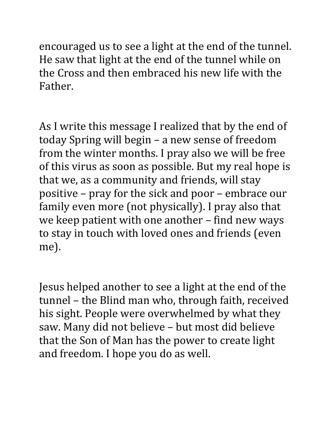encouraged us to see a light at the end of the tunnel. He saw that light at the end of the tunnel while on the Cross and then embraced his new life with the Father.

As I write this message I realized that by the end of today Spring will begin – a new sense of freedom from the winter months. I pray also we will be free of this virus as soon as possible. But my real hope is that we, as a community and friends, will stay positive – pray for the sick and poor – embrace our family even more (not physically). I pray also that we keep patient with one another – find new ways to stay in touch with loved ones and friends (even me).

Jesus helped another to see a light at the end of the tunnel – the Blind man who, through faith, received his sight. People were overwhelmed by what they saw. Many did not believe – but most did believe that the Son of Man has the power to create light and freedom. I hope you do as well.